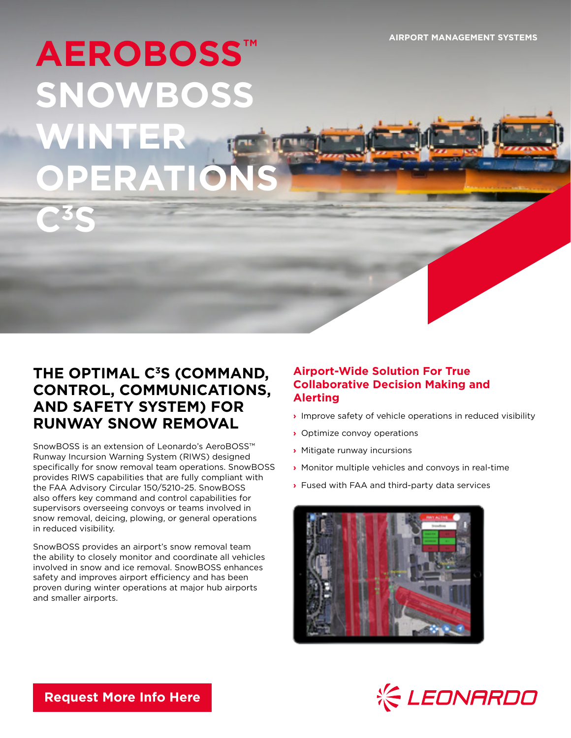**AIRPORT MANAGEMENT SYSTEMS**

# **AEROBOSS™ SNOWBOSS WINTER**  $f(x)$ **ERATI**

**C3S**

# THE OPTIMAL C<sup>3</sup>S (COMMAND, **CONTROL, COMMUNICATIONS, AND SAFETY SYSTEM) FOR RUNWAY SNOW REMOVAL**

SnowBOSS is an extension of Leonardo's AeroBOSS™ Runway Incursion Warning System (RIWS) designed specifically for snow removal team operations. SnowBOSS provides RIWS capabilities that are fully compliant with the FAA Advisory Circular 150/5210-25. SnowBOSS also offers key command and control capabilities for supervisors overseeing convoys or teams involved in snow removal, deicing, plowing, or general operations in reduced visibility.

SnowBOSS provides an airport's snow removal team the ability to closely monitor and coordinate all vehicles involved in snow and ice removal. SnowBOSS enhances safety and improves airport efficiency and has been proven during winter operations at major hub airports and smaller airports.

## **Airport-Wide Solution For True Collaborative Decision Making and Alerting**

- **›** Improve safety of vehicle operations in reduced visibility
- **›** Optimize convoy operations

FICTURE

- **›** Mitigate runway incursions
- **›** Monitor multiple vehicles and convoys in real-time
- **›** Fused with FAA and third-party data services